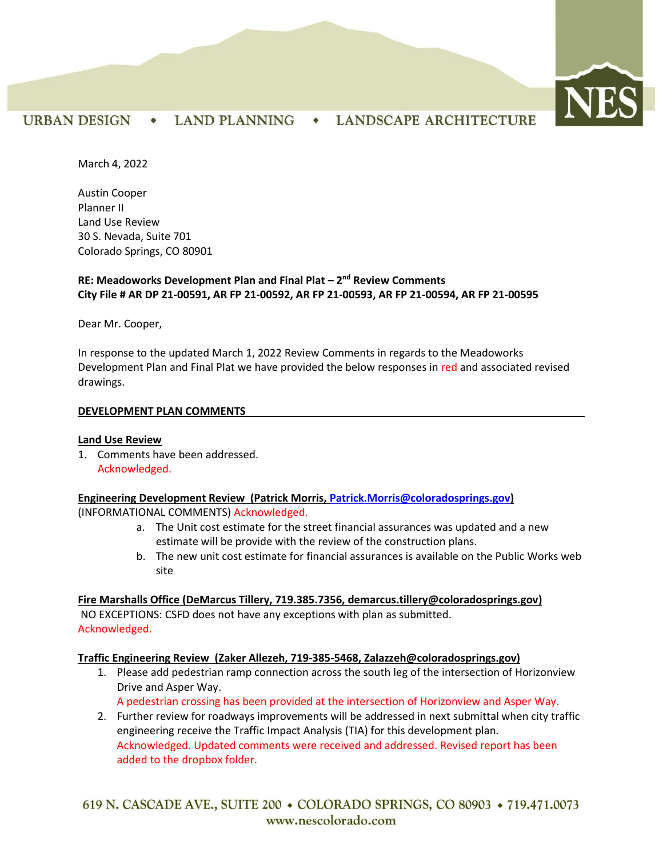

# URBAN DESIGN • LAND PLANNING • LANDSCAPE ARCHITECTURE

March 4, 2022

Austin Cooper Planner II Land Use Review 30 S. Nevada, Suite 701 Colorado Springs, CO 80901

## **RE: Meadoworks Development Plan and Final Plat – 2 nd Review Comments City File # AR DP 21-00591, AR FP 21-00592, AR FP 21-00593, AR FP 21-00594, AR FP 21-00595**

Dear Mr. Cooper,

In response to the updated March 1, 2022 Review Comments in regards to the Meadoworks Development Plan and Final Plat we have provided the below responses in red and associated revised drawings.

#### **DEVELOPMENT PLAN COMMENTS**

#### **Land Use Review**

1. Comments have been addressed. Acknowledged.

#### **Engineering Development Review (Patrick Morris, [Patrick.Morris@coloradosprings.gov\)](mailto:Patrick.Morris@coloradosprings.gov)** (INFORMATIONAL COMMENTS) Acknowledged.

- a. The Unit cost estimate for the street financial assurances was updated and a new estimate will be provide with the review of the construction plans.
- b. The new unit cost estimate for financial assurances is available on the Public Works web site

**Fire Marshalls Office (DeMarcus Tillery, 719.385.7356, [demarcus.tillery@coloradosprings.gov\)](mailto:demarcus.tillery@coloradosprings.gov)** NO EXCEPTIONS: CSFD does not have any exceptions with plan as submitted. Acknowledged.

### **Traffic Engineering Review (Zaker Allezeh, 719-385-5468, Zalazzeh@coloradosprings.gov)**

- 1. Please add pedestrian ramp connection across the south leg of the intersection of Horizonview Drive and Asper Way.
	- A pedestrian crossing has been provided at the intersection of Horizonview and Asper Way.
- 2. Further review for roadways improvements will be addressed in next submittal when city traffic engineering receive the Traffic Impact Analysis (TIA) for this development plan. Acknowledged. Updated comments were received and addressed. Revised report has been added to the dropbox folder.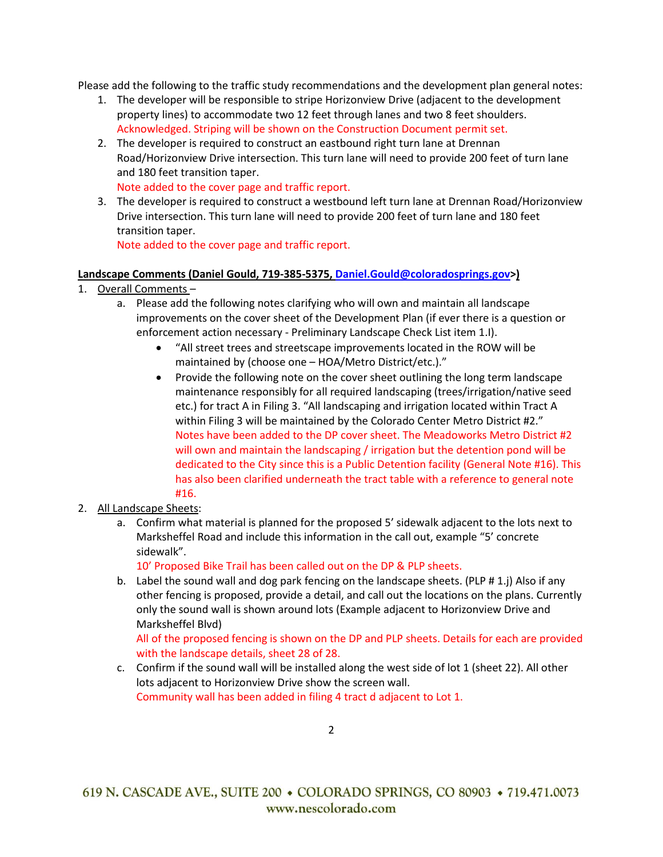Please add the following to the traffic study recommendations and the development plan general notes:

- 1. The developer will be responsible to stripe Horizonview Drive (adjacent to the development property lines) to accommodate two 12 feet through lanes and two 8 feet shoulders. Acknowledged. Striping will be shown on the Construction Document permit set.
- 2. The developer is required to construct an eastbound right turn lane at Drennan Road/Horizonview Drive intersection. This turn lane will need to provide 200 feet of turn lane and 180 feet transition taper.

Note added to the cover page and traffic report.

3. The developer is required to construct a westbound left turn lane at Drennan Road/Horizonview Drive intersection. This turn lane will need to provide 200 feet of turn lane and 180 feet transition taper.

Note added to the cover page and traffic report.

### **Landscape Comments (Daniel Gould, 719-385-5375[, Daniel.Gould@coloradosprings.gov>](mailto:Daniel.Gould@coloradosprings.gov))**

- 1. Overall Comments
	- a. Please add the following notes clarifying who will own and maintain all landscape improvements on the cover sheet of the Development Plan (if ever there is a question or enforcement action necessary - Preliminary Landscape Check List item 1.I).
		- "All street trees and streetscape improvements located in the ROW will be maintained by (choose one – HOA/Metro District/etc.)."
		- Provide the following note on the cover sheet outlining the long term landscape maintenance responsibly for all required landscaping (trees/irrigation/native seed etc.) for tract A in Filing 3. "All landscaping and irrigation located within Tract A within Filing 3 will be maintained by the Colorado Center Metro District #2." Notes have been added to the DP cover sheet. The Meadoworks Metro District #2 will own and maintain the landscaping / irrigation but the detention pond will be dedicated to the City since this is a Public Detention facility (General Note #16). This has also been clarified underneath the tract table with a reference to general note #16.
- 2. All Landscape Sheets:
	- a. Confirm what material is planned for the proposed 5' sidewalk adjacent to the lots next to Marksheffel Road and include this information in the call out, example "5' concrete sidewalk".

10' Proposed Bike Trail has been called out on the DP & PLP sheets.

b. Label the sound wall and dog park fencing on the landscape sheets. (PLP # 1.j) Also if any other fencing is proposed, provide a detail, and call out the locations on the plans. Currently only the sound wall is shown around lots (Example adjacent to Horizonview Drive and Marksheffel Blvd)

All of the proposed fencing is shown on the DP and PLP sheets. Details for each are provided with the landscape details, sheet 28 of 28.

c. Confirm if the sound wall will be installed along the west side of lot 1 (sheet 22). All other lots adjacent to Horizonview Drive show the screen wall. Community wall has been added in filing 4 tract d adjacent to Lot 1.

 $\mathfrak{D}$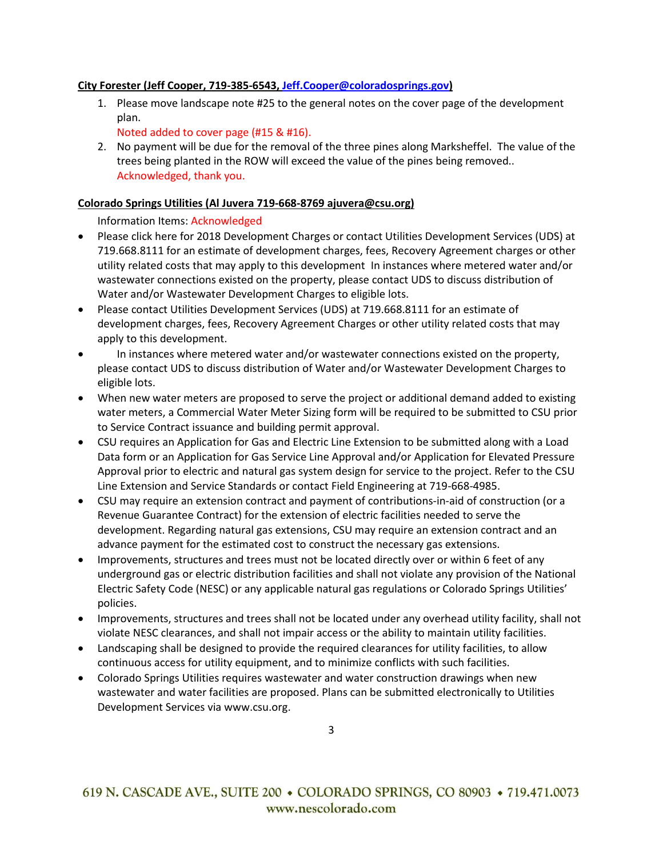### **City Forester (Jeff Cooper, 719-385-6543, [Jeff.Cooper@coloradosprings.gov\)](mailto:Jeff.Cooper@coloradosprings.gov)**

1. Please move landscape note #25 to the general notes on the cover page of the development plan.

Noted added to cover page (#15 & #16).

2. No payment will be due for the removal of the three pines along Marksheffel. The value of the trees being planted in the ROW will exceed the value of the pines being removed.. Acknowledged, thank you.

## **Colorado Springs Utilities (Al Juvera 719-668-8769 ajuvera@csu.org)**

Information Items: Acknowledged

- Please click [here](https://www.csu.org/CSUDocuments/developmentcharges.pdf) for 2018 Development Charges or contact Utilities Development Services (UDS) at 719.668.8111 for an estimate of development charges, fees, Recovery Agreement charges or other utility related costs that may apply to this development In instances where metered water and/or wastewater connections existed on the property, please contact UDS to discuss distribution of Water and/or Wastewater Development Charges to eligible lots.
- Please contact Utilities Development Services (UDS) at 719.668.8111 for an estimate of development charges, fees, Recovery Agreement Charges or other utility related costs that may apply to this development.
- In instances where metered water and/or wastewater connections existed on the property, please contact UDS to discuss distribution of Water and/or Wastewater Development Charges to eligible lots.
- When new water meters are proposed to serve the project or additional demand added to existing water meters, a Commercial Water Meter Sizing form will be required to be submitted to CSU prior to Service Contract issuance and building permit approval.
- CSU requires an Application for Gas and Electric Line Extension to be submitted along with a Load Data form or an Application for Gas Service Line Approval and/or Application for Elevated Pressure Approval prior to electric and natural gas system design for service to the project. Refer to the CSU Line Extension and Service Standards or contact Field Engineering at 719-668-4985.
- CSU may require an extension contract and payment of contributions-in-aid of construction (or a Revenue Guarantee Contract) for the extension of electric facilities needed to serve the development. Regarding natural gas extensions, CSU may require an extension contract and an advance payment for the estimated cost to construct the necessary gas extensions.
- Improvements, structures and trees must not be located directly over or within 6 feet of any underground gas or electric distribution facilities and shall not violate any provision of the National Electric Safety Code (NESC) or any applicable natural gas regulations or Colorado Springs Utilities' policies.
- Improvements, structures and trees shall not be located under any overhead utility facility, shall not violate NESC clearances, and shall not impair access or the ability to maintain utility facilities.
- Landscaping shall be designed to provide the required clearances for utility facilities, to allow continuous access for utility equipment, and to minimize conflicts with such facilities.
- Colorado Springs Utilities requires wastewater and water construction drawings when new wastewater and water facilities are proposed. Plans can be submitted electronically to Utilities Development Services via [www.csu.org.](http://www.csu.org/)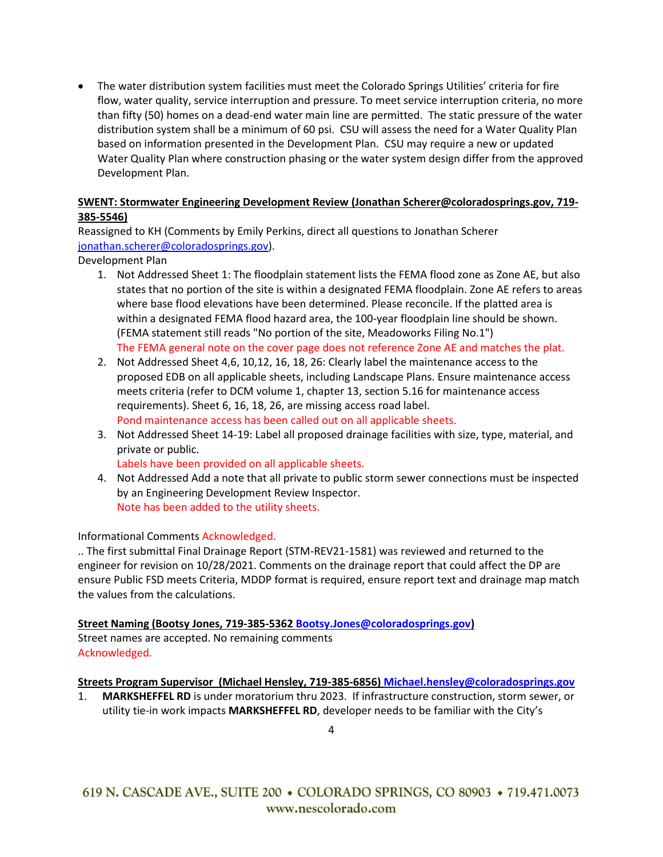• The water distribution system facilities must meet the Colorado Springs Utilities' criteria for fire flow, water quality, service interruption and pressure. To meet service interruption criteria, no more than fifty (50) homes on a dead-end water main line are permitted. The static pressure of the water distribution system shall be a minimum of 60 psi. CSU will assess the need for a Water Quality Plan based on information presented in the Development Plan. CSU may require a new or updated Water Quality Plan where construction phasing or the water system design differ from the approved Development Plan.

## **SWENT: Stormwater Engineering Development Review (Jonathan Scherer@coloradosprings.gov, 719- 385-5546)**

Reassigned to KH (Comments by Emily Perkins, direct all questions to Jonathan Scherer [jonathan.scherer@coloradosprings.gov\)](mailto:jonathan.scherer@coloradosprings.gov).

Development Plan

- 1. Not Addressed Sheet 1: The floodplain statement lists the FEMA flood zone as Zone AE, but also states that no portion of the site is within a designated FEMA floodplain. Zone AE refers to areas where base flood elevations have been determined. Please reconcile. If the platted area is within a designated FEMA flood hazard area, the 100-year floodplain line should be shown. (FEMA statement still reads "No portion of the site, Meadoworks Filing No.1") The FEMA general note on the cover page does not reference Zone AE and matches the plat.
- 2. Not Addressed Sheet 4,6, 10,12, 16, 18, 26: Clearly label the maintenance access to the proposed EDB on all applicable sheets, including Landscape Plans. Ensure maintenance access meets criteria (refer to DCM volume 1, chapter 13, section 5.16 for maintenance access requirements). Sheet 6, 16, 18, 26, are missing access road label. Pond maintenance access has been called out on all applicable sheets.
- 3. Not Addressed Sheet 14-19: Label all proposed drainage facilities with size, type, material, and private or public.

Labels have been provided on all applicable sheets.

4. Not Addressed Add a note that all private to public storm sewer connections must be inspected by an Engineering Development Review Inspector. Note has been added to the utility sheets.

Informational Comments Acknowledged.

.. The first submittal Final Drainage Report (STM-REV21-1581) was reviewed and returned to the engineer for revision on 10/28/2021. Comments on the drainage report that could affect the DP are ensure Public FSD meets Criteria, MDDP format is required, ensure report text and drainage map match the values from the calculations.

# **Street Naming (Bootsy Jones, 719-385-5362 [Bootsy.Jones@coloradosprings.gov\)](mailto:Bootsy.Jones@coloradosprings.gov)**

Street names are accepted. No remaining comments Acknowledged.

### **Streets Program Supervisor (Michael Hensley, 719-385-6856) [Michael.hensley@coloradosprings.gov](mailto:Michael.hensley@coloradosprings.gov)**

1. **MARKSHEFFEL RD** is under moratorium thru 2023. If infrastructure construction, storm sewer, or utility tie-in work impacts **MARKSHEFFEL RD**, developer needs to be familiar with the City's

4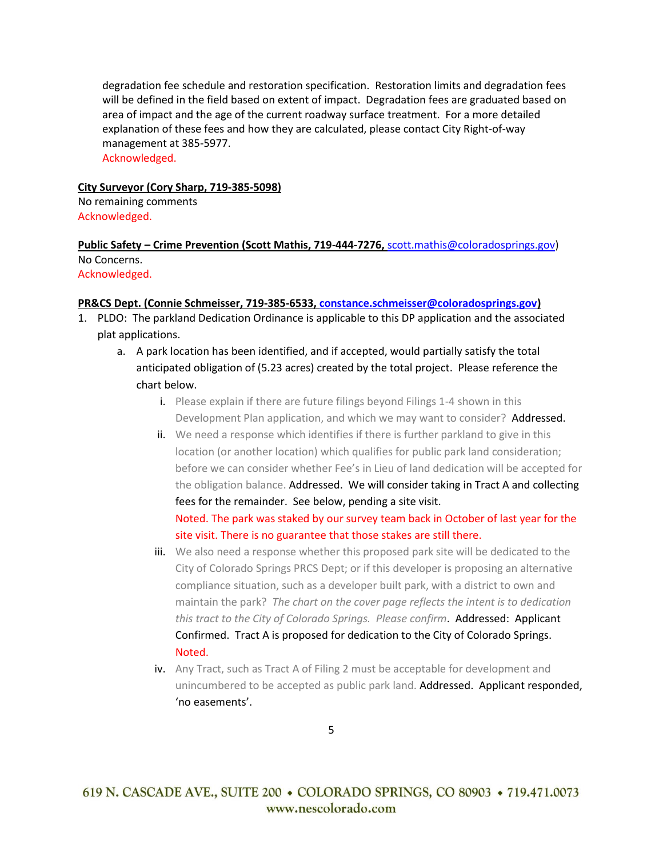degradation fee schedule and restoration specification. Restoration limits and degradation fees will be defined in the field based on extent of impact. Degradation fees are graduated based on area of impact and the age of the current roadway surface treatment. For a more detailed explanation of these fees and how they are calculated, please contact City Right-of-way management at 385-5977. Acknowledged.

#### **City Surveyor (Cory Sharp, 719-385-5098)**

No remaining comments Acknowledged.

### **Public Safety – Crime Prevention (Scott Mathis, 719-444-7276,** [scott.mathis@coloradosprings.gov\)](mailto:scott.mathis@coloradosprings.gov) No Concerns. Acknowledged.

#### **PR&CS Dept. (Connie Schmeisser, 719-385-6533, [constance.schmeisser@coloradosprings.gov\)](mailto:constance.schmeisser@coloradosprings.gov)**

- 1. PLDO: The parkland Dedication Ordinance is applicable to this DP application and the associated plat applications.
	- a. A park location has been identified, and if accepted, would partially satisfy the total anticipated obligation of (5.23 acres) created by the total project. Please reference the chart below.
		- i. Please explain if there are future filings beyond Filings 1-4 shown in this Development Plan application, and which we may want to consider? Addressed.
		- ii. We need a response which identifies if there is further parkland to give in this location (or another location) which qualifies for public park land consideration; before we can consider whether Fee's in Lieu of land dedication will be accepted for the obligation balance. Addressed. We will consider taking in Tract A and collecting fees for the remainder. See below, pending a site visit. Noted. The park was staked by our survey team back in October of last year for the site visit. There is no guarantee that those stakes are still there.
		- iii. We also need a response whether this proposed park site will be dedicated to the City of Colorado Springs PRCS Dept; or if this developer is proposing an alternative compliance situation, such as a developer built park, with a district to own and maintain the park? *The chart on the cover page reflects the intent is to dedication this tract to the City of Colorado Springs. Please confirm*. Addressed: Applicant Confirmed. Tract A is proposed for dedication to the City of Colorado Springs. Noted.
		- iv. Any Tract, such as Tract A of Filing 2 must be acceptable for development and unincumbered to be accepted as public park land. Addressed. Applicant responded, 'no easements'.

5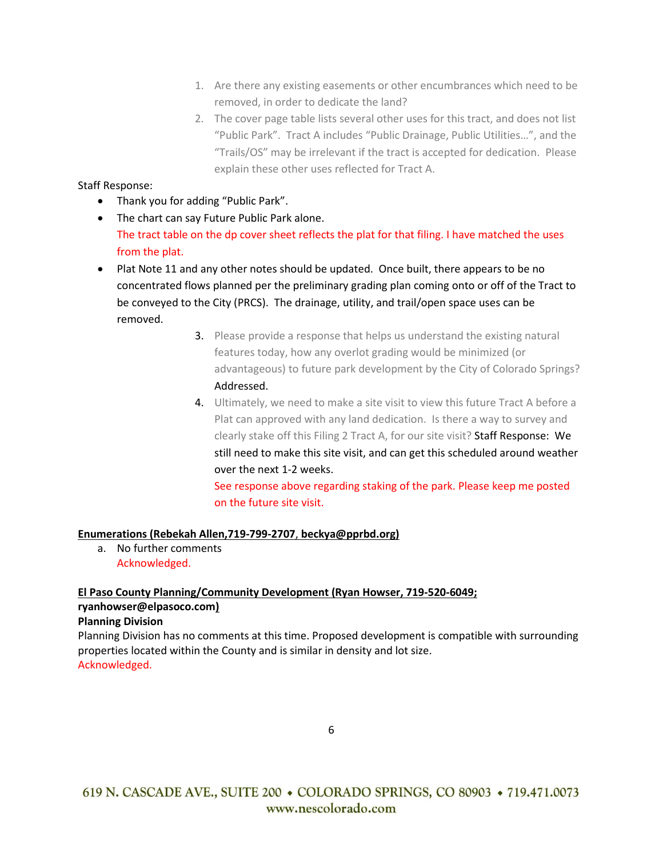- 1. Are there any existing easements or other encumbrances which need to be removed, in order to dedicate the land?
- 2. The cover page table lists several other uses for this tract, and does not list "Public Park". Tract A includes "Public Drainage, Public Utilities…", and the "Trails/OS" may be irrelevant if the tract is accepted for dedication. Please explain these other uses reflected for Tract A.

# Staff Response:

- Thank you for adding "Public Park".
- The chart can say Future Public Park alone. The tract table on the dp cover sheet reflects the plat for that filing. I have matched the uses from the plat.
- Plat Note 11 and any other notes should be updated. Once built, there appears to be no concentrated flows planned per the preliminary grading plan coming onto or off of the Tract to be conveyed to the City (PRCS). The drainage, utility, and trail/open space uses can be removed.
	- 3. Please provide a response that helps us understand the existing natural features today, how any overlot grading would be minimized (or advantageous) to future park development by the City of Colorado Springs? Addressed.
	- 4. Ultimately, we need to make a site visit to view this future Tract A before a Plat can approved with any land dedication. Is there a way to survey and clearly stake off this Filing 2 Tract A, for our site visit? Staff Response: We still need to make this site visit, and can get this scheduled around weather over the next 1-2 weeks.

See response above regarding staking of the park. Please keep me posted on the future site visit.

# **Enumerations (Rebekah Allen,719-799-2707**, **beckya@pprbd.org)**

a. No further comments Acknowledged.

# **El Paso County Planning/Community Development (Ryan Howser, 719-520-6049; [ryanhowser@elpasoco.com\)](mailto:ryanhowser@elpasoco.com)**

### **Planning Division**

Planning Division has no comments at this time. Proposed development is compatible with surrounding properties located within the County and is similar in density and lot size. Acknowledged.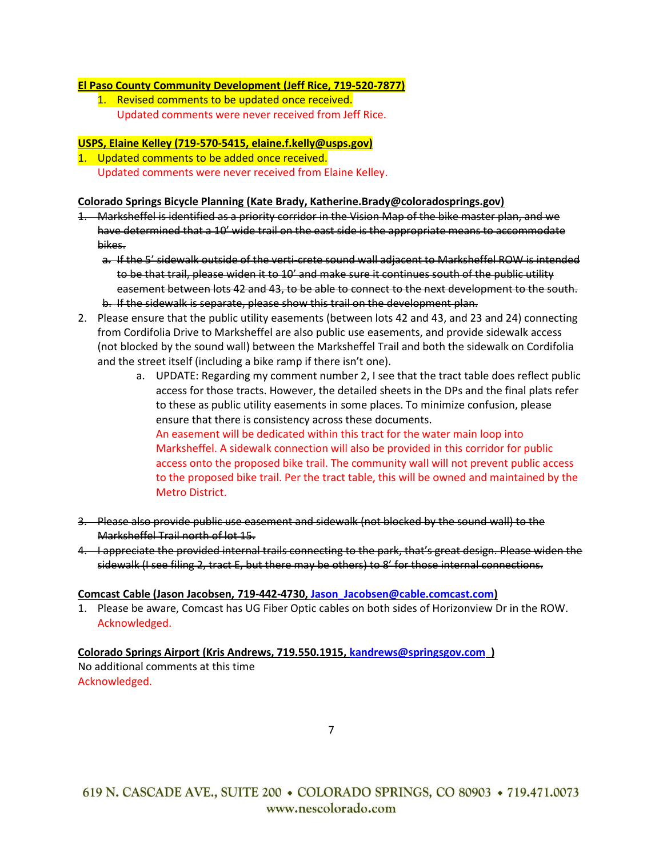### **El Paso County Community Development (Jeff Rice, 719-520-7877)**

1. Revised comments to be updated once received. Updated comments were never received from Jeff Rice.

# **USPS, Elaine Kelley (719-570-5415, elaine.f.kelly@usps.gov)**

1. Updated comments to be added once received. Updated comments were never received from Elaine Kelley.

### **Colorado Springs Bicycle Planning (Kate Brady, Katherine.Brady@coloradosprings.gov)**

- 1. Marksheffel is identified as a priority corridor in the Vision Map of the bike master plan, and we have determined that a 10' wide trail on the east side is the appropriate means to accommodate bikes.
	- a. If the 5' sidewalk outside of the verti-crete sound wall adjacent to Marksheffel ROW is intended to be that trail, please widen it to 10' and make sure it continues south of the public utility easement between lots 42 and 43, to be able to connect to the next development to the south. b. If the sidewalk is separate, please show this trail on the development plan.
- 2. Please ensure that the public utility easements (between lots 42 and 43, and 23 and 24) connecting from Cordifolia Drive to Marksheffel are also public use easements, and provide sidewalk access (not blocked by the sound wall) between the Marksheffel Trail and both the sidewalk on Cordifolia and the street itself (including a bike ramp if there isn't one).
	- a. UPDATE: Regarding my comment number 2, I see that the tract table does reflect public access for those tracts. However, the detailed sheets in the DPs and the final plats refer to these as public utility easements in some places. To minimize confusion, please ensure that there is consistency across these documents. An easement will be dedicated within this tract for the water main loop into Marksheffel. A sidewalk connection will also be provided in this corridor for public access onto the proposed bike trail. The community wall will not prevent public access to the proposed bike trail. Per the tract table, this will be owned and maintained by the Metro District.
- 3. Please also provide public use easement and sidewalk (not blocked by the sound wall) to the Marksheffel Trail north of lot 15.
- 4. I appreciate the provided internal trails connecting to the park, that's great design. Please widen the sidewalk (I see filing 2, tract E, but there may be others) to 8' for those internal connections.

### **Comcast Cable (Jason Jacobsen, 719-442-4730, [Jason\\_Jacobsen@cable.comcast.com\)](mailto:Jason_Jacobsen@cable.comcast.com)**

1. Please be aware, Comcast has UG Fiber Optic cables on both sides of Horizonview Dr in the ROW. Acknowledged.

# **Colorado Springs Airport (Kris Andrews, 719.550.1915[, kandrews@springsgov.com](mailto:kandrews@springsgov.com) )**

No additional comments at this time Acknowledged.

7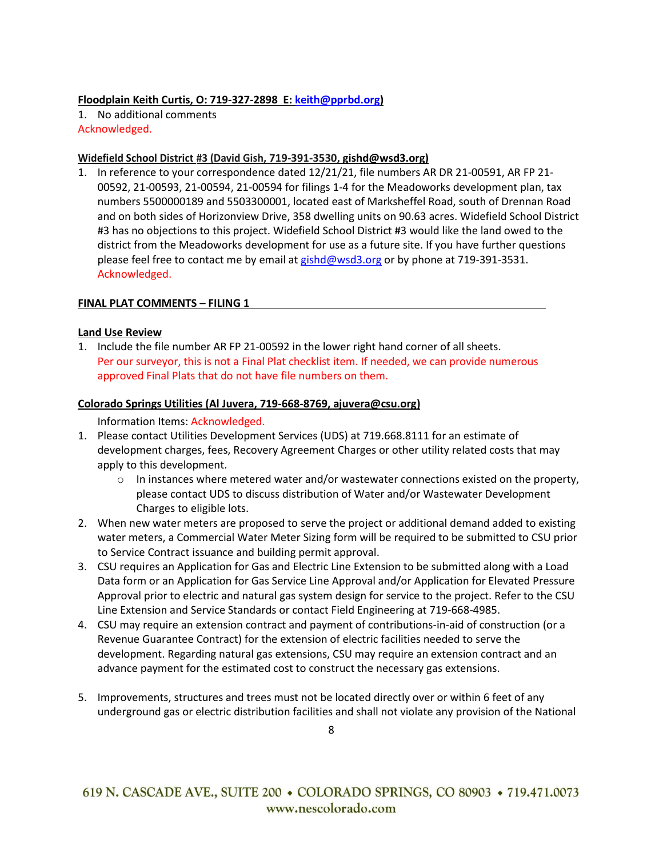### **Floodplain Keith Curtis, O: 719-327-2898 E: [keith@pprbd.org\)](mailto:keith@pprbd.org)**

1. No additional comments Acknowledged.

### **Widefield School District #3 (David Gish, 719-391-3530, gishd@wsd3.org)**

1. In reference to your correspondence dated 12/21/21, file numbers AR DR 21-00591, AR FP 21- 00592, 21-00593, 21-00594, 21-00594 for filings 1-4 for the Meadoworks development plan, tax numbers 5500000189 and 5503300001, located east of Marksheffel Road, south of Drennan Road and on both sides of Horizonview Drive, 358 dwelling units on 90.63 acres. Widefield School District #3 has no objections to this project. Widefield School District #3 would like the land owed to the district from the Meadoworks development for use as a future site. If you have further questions please feel free to contact me by email a[t gishd@wsd3.org](mailto:gishd@wsd3.org) or by phone at 719-391-3531. Acknowledged.

### **FINAL PLAT COMMENTS – FILING 1**

### **Land Use Review**

1. Include the file number AR FP 21-00592 in the lower right hand corner of all sheets. Per our surveyor, this is not a Final Plat checklist item. If needed, we can provide numerous approved Final Plats that do not have file numbers on them.

### **Colorado Springs Utilities (Al Juvera, 719-668-8769, ajuvera@csu.org)**

Information Items: Acknowledged.

- 1. Please contact Utilities Development Services (UDS) at 719.668.8111 for an estimate of development charges, fees, Recovery Agreement Charges or other utility related costs that may apply to this development.
	- $\circ$  In instances where metered water and/or wastewater connections existed on the property, please contact UDS to discuss distribution of Water and/or Wastewater Development Charges to eligible lots.
- 2. When new water meters are proposed to serve the project or additional demand added to existing water meters, a Commercial Water Meter Sizing form will be required to be submitted to CSU prior to Service Contract issuance and building permit approval.
- 3. CSU requires an Application for Gas and Electric Line Extension to be submitted along with a Load Data form or an Application for Gas Service Line Approval and/or Application for Elevated Pressure Approval prior to electric and natural gas system design for service to the project. Refer to the CSU Line Extension and Service Standards or contact Field Engineering at 719-668-4985.
- 4. CSU may require an extension contract and payment of contributions-in-aid of construction (or a Revenue Guarantee Contract) for the extension of electric facilities needed to serve the development. Regarding natural gas extensions, CSU may require an extension contract and an advance payment for the estimated cost to construct the necessary gas extensions.
- 5. Improvements, structures and trees must not be located directly over or within 6 feet of any underground gas or electric distribution facilities and shall not violate any provision of the National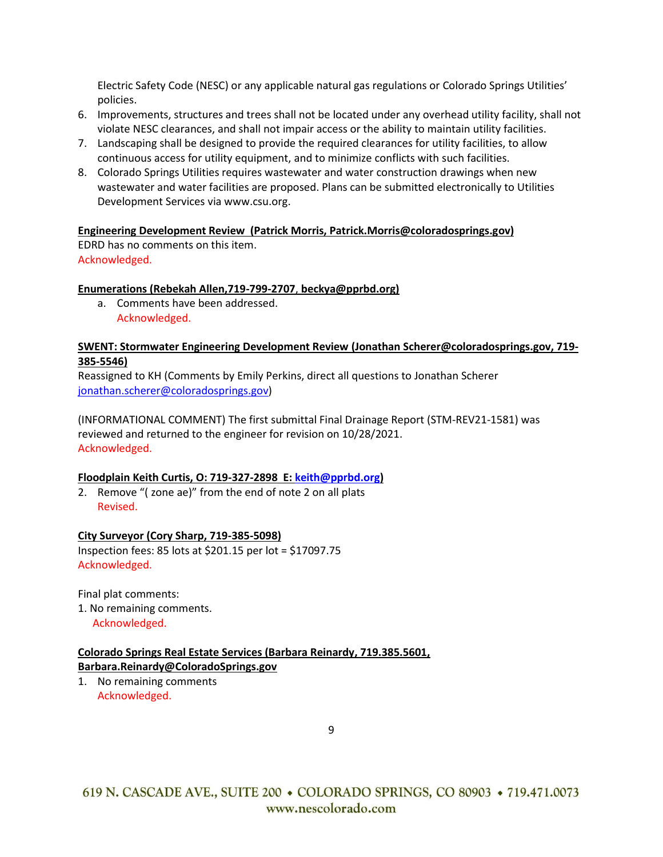Electric Safety Code (NESC) or any applicable natural gas regulations or Colorado Springs Utilities' policies.

- 6. Improvements, structures and trees shall not be located under any overhead utility facility, shall not violate NESC clearances, and shall not impair access or the ability to maintain utility facilities.
- 7. Landscaping shall be designed to provide the required clearances for utility facilities, to allow continuous access for utility equipment, and to minimize conflicts with such facilities.
- 8. Colorado Springs Utilities requires wastewater and water construction drawings when new wastewater and water facilities are proposed. Plans can be submitted electronically to Utilities Development Services via [www.csu.org.](http://www.csu.org/)

### **Engineering Development Review (Patrick Morris, Patrick.Morris@coloradosprings.gov)**

EDRD has no comments on this item. Acknowledged.

# **Enumerations (Rebekah Allen,719-799-2707**, **beckya@pprbd.org)**

a. Comments have been addressed. Acknowledged.

### **SWENT: Stormwater Engineering Development Review (Jonathan Scherer@coloradosprings.gov, 719- 385-5546)**

Reassigned to KH (Comments by Emily Perkins, direct all questions to Jonathan Scherer [jonathan.scherer@coloradosprings.gov\)](mailto:jonathan.scherer@coloradosprings.gov)

(INFORMATIONAL COMMENT) The first submittal Final Drainage Report (STM-REV21-1581) was reviewed and returned to the engineer for revision on 10/28/2021. Acknowledged.

### **Floodplain Keith Curtis, O: 719-327-2898 E: [keith@pprbd.org\)](mailto:keith@pprbd.org)**

2. Remove "( zone ae)" from the end of note 2 on all plats Revised.

# **City Surveyor (Cory Sharp, 719-385-5098)**

Inspection fees: 85 lots at \$201.15 per lot = \$17097.75 Acknowledged.

Final plat comments:

1. No remaining comments.

Acknowledged.

# **Colorado Springs Real Estate Services (Barbara Reinardy, 719.385.5601, [Barbara.Reinardy@ColoradoSprings.gov](mailto:Barbara.Reinardy@ColoradoSprings.gov)**

1. No remaining comments Acknowledged.

9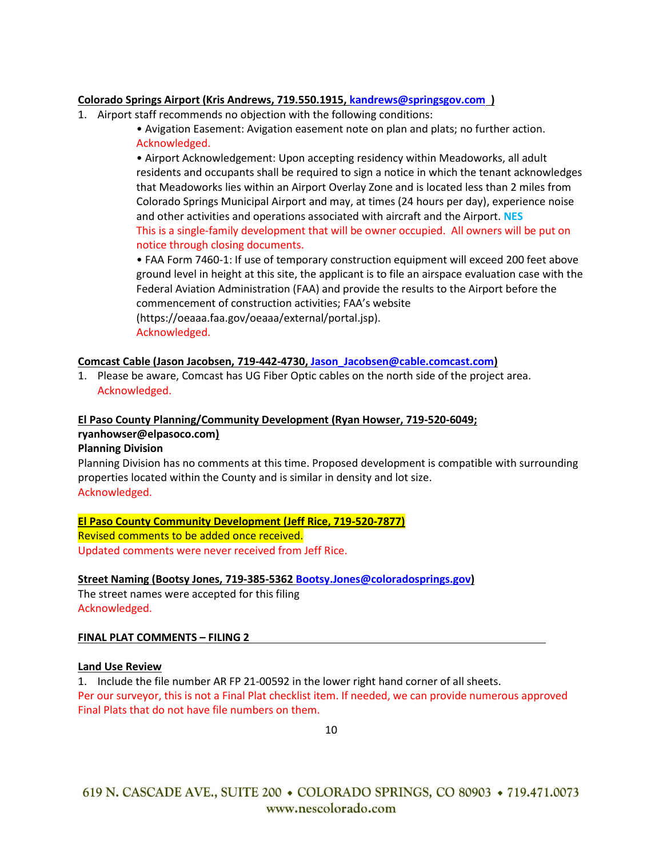## **Colorado Springs Airport (Kris Andrews, 719.550.1915[, kandrews@springsgov.com](mailto:kandrews@springsgov.com) )**

- 1. Airport staff recommends no objection with the following conditions:
	- Avigation Easement: Avigation easement note on plan and plats; no further action. Acknowledged.

• Airport Acknowledgement: Upon accepting residency within Meadoworks, all adult residents and occupants shall be required to sign a notice in which the tenant acknowledges that Meadoworks lies within an Airport Overlay Zone and is located less than 2 miles from Colorado Springs Municipal Airport and may, at times (24 hours per day), experience noise and other activities and operations associated with aircraft and the Airport. **NES** This is a single-family development that will be owner occupied. All owners will be put on notice through closing documents.

• FAA Form 7460-1: If use of temporary construction equipment will exceed 200 feet above ground level in height at this site, the applicant is to file an airspace evaluation case with the Federal Aviation Administration (FAA) and provide the results to the Airport before the commencement of construction activities; FAA's website (https://oeaaa.faa.gov/oeaaa/external/portal.jsp). Acknowledged.

### **Comcast Cable (Jason Jacobsen, 719-442-4730, [Jason\\_Jacobsen@cable.comcast.com\)](mailto:Jason_Jacobsen@cable.comcast.com)**

1. Please be aware, Comcast has UG Fiber Optic cables on the north side of the project area. Acknowledged.

# **El Paso County Planning/Community Development (Ryan Howser, 719-520-6049;**

# **[ryanhowser@elpasoco.com\)](mailto:ryanhowser@elpasoco.com)**

### **Planning Division**

Planning Division has no comments at this time. Proposed development is compatible with surrounding properties located within the County and is similar in density and lot size. Acknowledged.

### **El Paso County Community Development (Jeff Rice, 719-520-7877)** Revised comments to be added once received. Updated comments were never received from Jeff Rice.

### **Street Naming (Bootsy Jones, 719-385-5362 [Bootsy.Jones@coloradosprings.gov\)](mailto:Bootsy.Jones@coloradosprings.gov)**

The street names were accepted for this filing Acknowledged.

### **FINAL PLAT COMMENTS – FILING 2**

### **Land Use Review**

1. Include the file number AR FP 21-00592 in the lower right hand corner of all sheets. Per our surveyor, this is not a Final Plat checklist item. If needed, we can provide numerous approved Final Plats that do not have file numbers on them.

10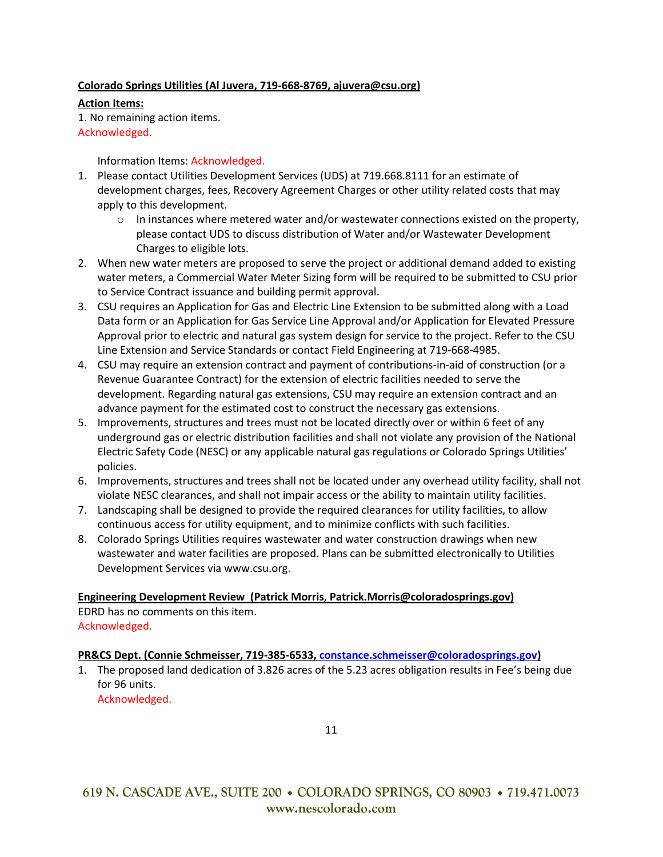## **Colorado Springs Utilities (Al Juvera, 719-668-8769, ajuvera@csu.org)**

**Action Items:** 1. No remaining action items. Acknowledged.

Information Items: Acknowledged.

- 1. Please contact Utilities Development Services (UDS) at 719.668.8111 for an estimate of development charges, fees, Recovery Agreement Charges or other utility related costs that may apply to this development.
	- $\circ$  In instances where metered water and/or wastewater connections existed on the property, please contact UDS to discuss distribution of Water and/or Wastewater Development Charges to eligible lots.
- 2. When new water meters are proposed to serve the project or additional demand added to existing water meters, a Commercial Water Meter Sizing form will be required to be submitted to CSU prior to Service Contract issuance and building permit approval.
- 3. CSU requires an Application for Gas and Electric Line Extension to be submitted along with a Load Data form or an Application for Gas Service Line Approval and/or Application for Elevated Pressure Approval prior to electric and natural gas system design for service to the project. Refer to the CSU Line Extension and Service Standards or contact Field Engineering at 719-668-4985.
- 4. CSU may require an extension contract and payment of contributions-in-aid of construction (or a Revenue Guarantee Contract) for the extension of electric facilities needed to serve the development. Regarding natural gas extensions, CSU may require an extension contract and an advance payment for the estimated cost to construct the necessary gas extensions.
- 5. Improvements, structures and trees must not be located directly over or within 6 feet of any underground gas or electric distribution facilities and shall not violate any provision of the National Electric Safety Code (NESC) or any applicable natural gas regulations or Colorado Springs Utilities' policies.
- 6. Improvements, structures and trees shall not be located under any overhead utility facility, shall not violate NESC clearances, and shall not impair access or the ability to maintain utility facilities.
- 7. Landscaping shall be designed to provide the required clearances for utility facilities, to allow continuous access for utility equipment, and to minimize conflicts with such facilities.
- 8. Colorado Springs Utilities requires wastewater and water construction drawings when new wastewater and water facilities are proposed. Plans can be submitted electronically to Utilities Development Services via [www.csu.org.](http://www.csu.org/)

**Engineering Development Review (Patrick Morris, Patrick.Morris@coloradosprings.gov)** EDRD has no comments on this item.

Acknowledged.

### **PR&CS Dept. (Connie Schmeisser, 719-385-6533, [constance.schmeisser@coloradosprings.gov\)](mailto:constance.schmeisser@coloradosprings.gov)**

1. The proposed land dedication of 3.826 acres of the 5.23 acres obligation results in Fee's being due for 96 units. Acknowledged.

11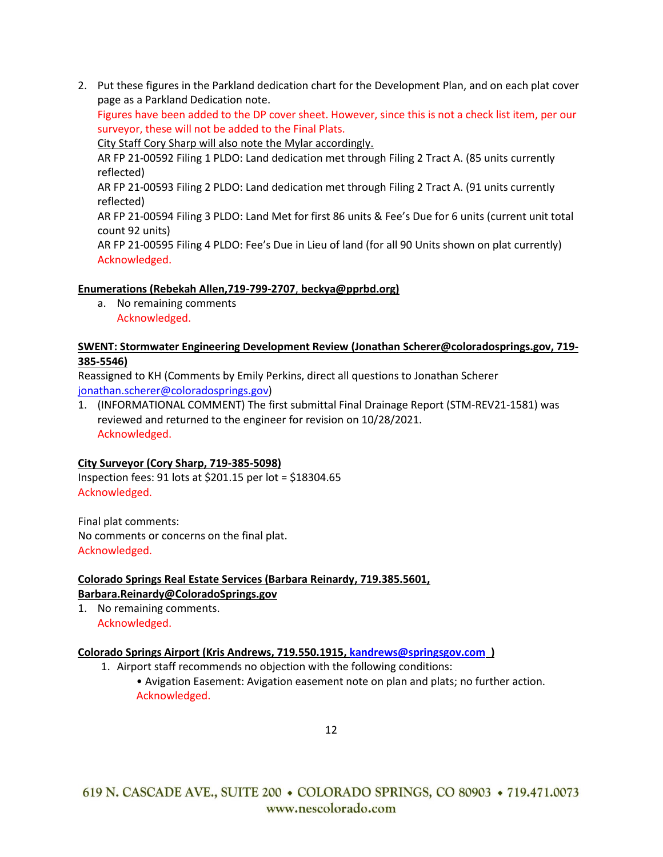2. Put these figures in the Parkland dedication chart for the Development Plan, and on each plat cover page as a Parkland Dedication note.

Figures have been added to the DP cover sheet. However, since this is not a check list item, per our surveyor, these will not be added to the Final Plats.

City Staff Cory Sharp will also note the Mylar accordingly.

AR FP 21-00592 Filing 1 PLDO: Land dedication met through Filing 2 Tract A. (85 units currently reflected)

AR FP 21-00593 Filing 2 PLDO: Land dedication met through Filing 2 Tract A. (91 units currently reflected)

AR FP 21-00594 Filing 3 PLDO: Land Met for first 86 units & Fee's Due for 6 units (current unit total count 92 units)

AR FP 21-00595 Filing 4 PLDO: Fee's Due in Lieu of land (for all 90 Units shown on plat currently) Acknowledged.

# **Enumerations (Rebekah Allen,719-799-2707**, **beckya@pprbd.org)**

a. No remaining comments Acknowledged.

## **SWENT: Stormwater Engineering Development Review (Jonathan Scherer@coloradosprings.gov, 719- 385-5546)**

Reassigned to KH (Comments by Emily Perkins, direct all questions to Jonathan Scherer [jonathan.scherer@coloradosprings.gov\)](mailto:jonathan.scherer@coloradosprings.gov)

1. (INFORMATIONAL COMMENT) The first submittal Final Drainage Report (STM-REV21-1581) was reviewed and returned to the engineer for revision on 10/28/2021. Acknowledged.

# **City Surveyor (Cory Sharp, 719-385-5098)**

Inspection fees: 91 lots at \$201.15 per lot = \$18304.65 Acknowledged.

Final plat comments: No comments or concerns on the final plat. Acknowledged.

# **Colorado Springs Real Estate Services (Barbara Reinardy, 719.385.5601, [Barbara.Reinardy@ColoradoSprings.gov](mailto:Barbara.Reinardy@ColoradoSprings.gov)**

1. No remaining comments. Acknowledged.

# **Colorado Springs Airport (Kris Andrews, 719.550.1915[, kandrews@springsgov.com](mailto:kandrews@springsgov.com) )**

- 1. Airport staff recommends no objection with the following conditions:
	- Avigation Easement: Avigation easement note on plan and plats; no further action. Acknowledged.

12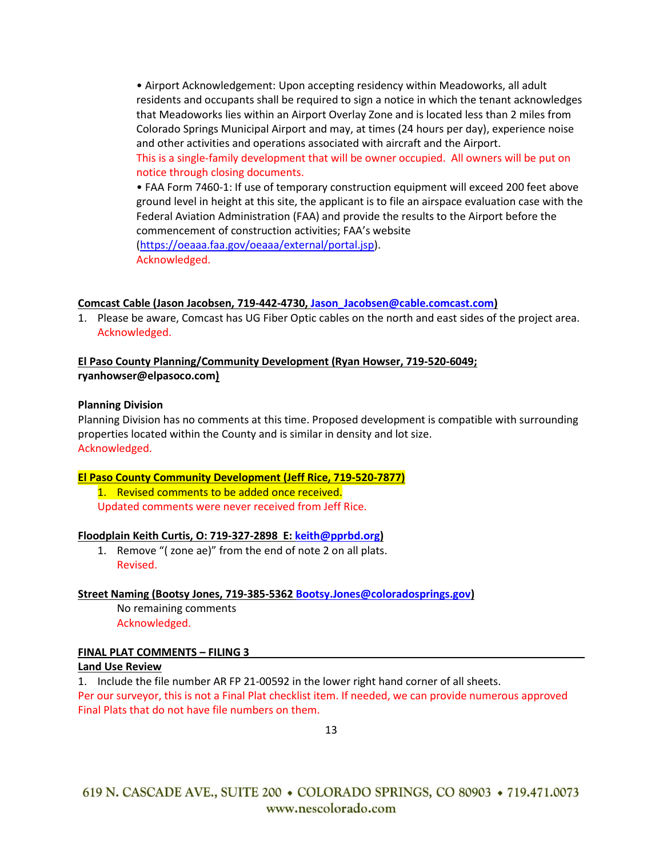• Airport Acknowledgement: Upon accepting residency within Meadoworks, all adult residents and occupants shall be required to sign a notice in which the tenant acknowledges that Meadoworks lies within an Airport Overlay Zone and is located less than 2 miles from Colorado Springs Municipal Airport and may, at times (24 hours per day), experience noise and other activities and operations associated with aircraft and the Airport. This is a single-family development that will be owner occupied. All owners will be put on notice through closing documents.

• FAA Form 7460-1: If use of temporary construction equipment will exceed 200 feet above ground level in height at this site, the applicant is to file an airspace evaluation case with the Federal Aviation Administration (FAA) and provide the results to the Airport before the commencement of construction activities; FAA's website

[\(https://oeaaa.faa.gov/oeaaa/external/portal.jsp\)](https://oeaaa.faa.gov/oeaaa/external/portal.jsp). Acknowledged.

**Comcast Cable (Jason Jacobsen, 719-442-4730, [Jason\\_Jacobsen@cable.comcast.com\)](mailto:Jason_Jacobsen@cable.comcast.com)**

1. Please be aware, Comcast has UG Fiber Optic cables on the north and east sides of the project area. Acknowledged.

## **El Paso County Planning/Community Development (Ryan Howser, 719-520-6049; [ryanhowser@elpasoco.com\)](mailto:ryanhowser@elpasoco.com)**

### **Planning Division**

Planning Division has no comments at this time. Proposed development is compatible with surrounding properties located within the County and is similar in density and lot size. Acknowledged.

### **El Paso County Community Development (Jeff Rice, 719-520-7877)**

1. Revised comments to be added once received. Updated comments were never received from Jeff Rice.

### **Floodplain Keith Curtis, O: 719-327-2898 E: [keith@pprbd.org\)](mailto:keith@pprbd.org)**

1. Remove "( zone ae)" from the end of note 2 on all plats. Revised.

### **Street Naming (Bootsy Jones, 719-385-5362 [Bootsy.Jones@coloradosprings.gov\)](mailto:Bootsy.Jones@coloradosprings.gov)**

No remaining comments Acknowledged.

# **FINAL PLAT COMMENTS – FILING 3**

### **Land Use Review**

1. Include the file number AR FP 21-00592 in the lower right hand corner of all sheets.

Per our surveyor, this is not a Final Plat checklist item. If needed, we can provide numerous approved Final Plats that do not have file numbers on them.

13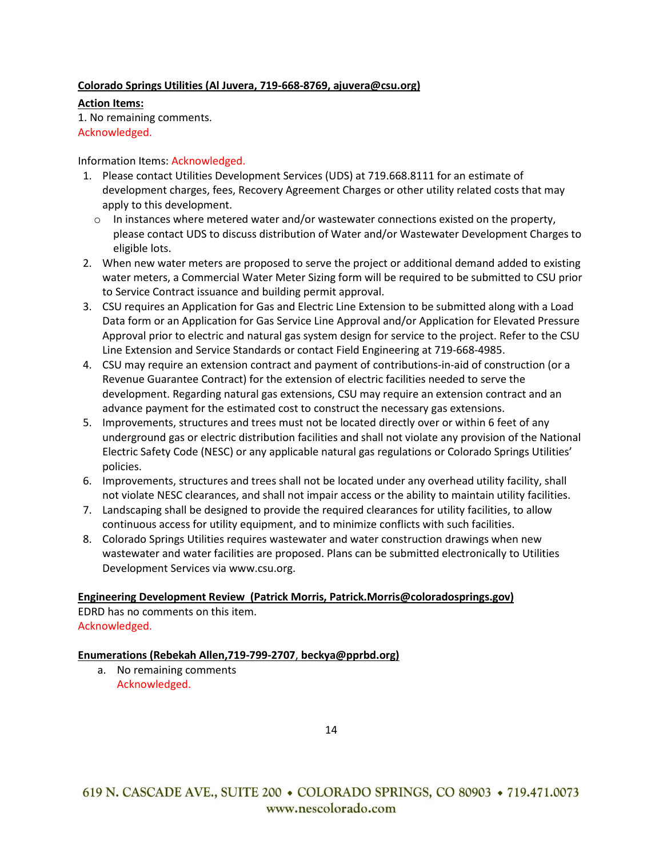### **Colorado Springs Utilities (Al Juvera, 719-668-8769, ajuvera@csu.org)**

**Action Items:** 1. No remaining comments. Acknowledged.

### Information Items: Acknowledged.

- 1. Please contact Utilities Development Services (UDS) at 719.668.8111 for an estimate of development charges, fees, Recovery Agreement Charges or other utility related costs that may apply to this development.
	- $\circ$  In instances where metered water and/or wastewater connections existed on the property, please contact UDS to discuss distribution of Water and/or Wastewater Development Charges to eligible lots.
- 2. When new water meters are proposed to serve the project or additional demand added to existing water meters, a Commercial Water Meter Sizing form will be required to be submitted to CSU prior to Service Contract issuance and building permit approval.
- 3. CSU requires an Application for Gas and Electric Line Extension to be submitted along with a Load Data form or an Application for Gas Service Line Approval and/or Application for Elevated Pressure Approval prior to electric and natural gas system design for service to the project. Refer to the CSU Line Extension and Service Standards or contact Field Engineering at 719-668-4985.
- 4. CSU may require an extension contract and payment of contributions-in-aid of construction (or a Revenue Guarantee Contract) for the extension of electric facilities needed to serve the development. Regarding natural gas extensions, CSU may require an extension contract and an advance payment for the estimated cost to construct the necessary gas extensions.
- 5. Improvements, structures and trees must not be located directly over or within 6 feet of any underground gas or electric distribution facilities and shall not violate any provision of the National Electric Safety Code (NESC) or any applicable natural gas regulations or Colorado Springs Utilities' policies.
- 6. Improvements, structures and trees shall not be located under any overhead utility facility, shall not violate NESC clearances, and shall not impair access or the ability to maintain utility facilities.
- 7. Landscaping shall be designed to provide the required clearances for utility facilities, to allow continuous access for utility equipment, and to minimize conflicts with such facilities.
- 8. Colorado Springs Utilities requires wastewater and water construction drawings when new wastewater and water facilities are proposed. Plans can be submitted electronically to Utilities Development Services vi[a www.csu.org.](http://www.csu.org/)

# **Engineering Development Review (Patrick Morris, Patrick.Morris@coloradosprings.gov)**

EDRD has no comments on this item. Acknowledged.

### **Enumerations (Rebekah Allen,719-799-2707**, **beckya@pprbd.org)**

a. No remaining comments Acknowledged.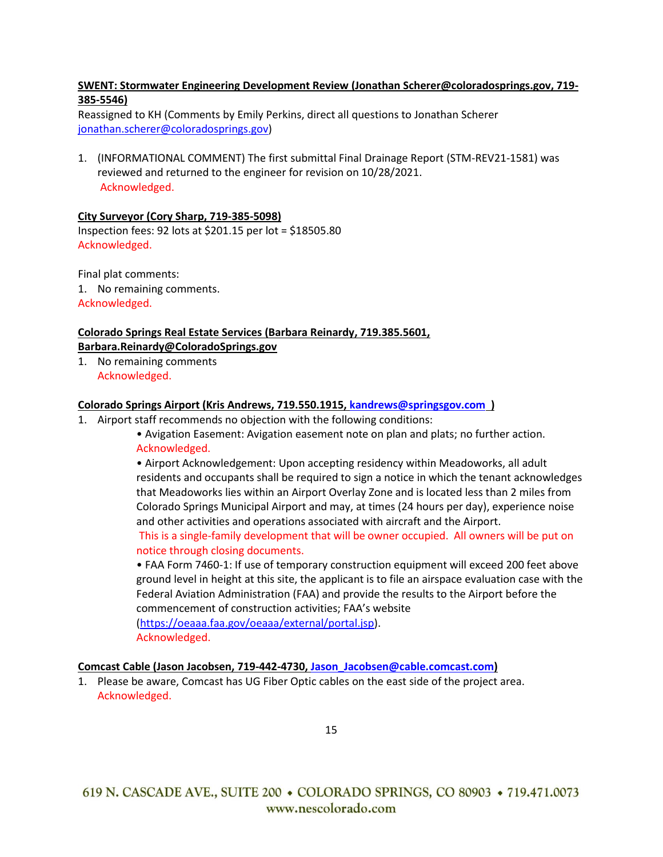## **SWENT: Stormwater Engineering Development Review (Jonathan Scherer@coloradosprings.gov, 719- 385-5546)**

Reassigned to KH (Comments by Emily Perkins, direct all questions to Jonathan Scherer [jonathan.scherer@coloradosprings.gov\)](mailto:jonathan.scherer@coloradosprings.gov)

1. (INFORMATIONAL COMMENT) The first submittal Final Drainage Report (STM-REV21-1581) was reviewed and returned to the engineer for revision on 10/28/2021. Acknowledged.

### **City Surveyor (Cory Sharp, 719-385-5098)**

Inspection fees: 92 lots at \$201.15 per lot = \$18505.80 Acknowledged.

Final plat comments: 1. No remaining comments. Acknowledged.

# **Colorado Springs Real Estate Services (Barbara Reinardy, 719.385.5601, [Barbara.Reinardy@ColoradoSprings.gov](mailto:Barbara.Reinardy@ColoradoSprings.gov)**

1. No remaining comments Acknowledged.

### **Colorado Springs Airport (Kris Andrews, 719.550.1915[, kandrews@springsgov.com](mailto:kandrews@springsgov.com) )**

- 1. Airport staff recommends no objection with the following conditions:
	- Avigation Easement: Avigation easement note on plan and plats; no further action. Acknowledged.

• Airport Acknowledgement: Upon accepting residency within Meadoworks, all adult residents and occupants shall be required to sign a notice in which the tenant acknowledges that Meadoworks lies within an Airport Overlay Zone and is located less than 2 miles from Colorado Springs Municipal Airport and may, at times (24 hours per day), experience noise and other activities and operations associated with aircraft and the Airport.

This is a single-family development that will be owner occupied. All owners will be put on notice through closing documents.

• FAA Form 7460-1: If use of temporary construction equipment will exceed 200 feet above ground level in height at this site, the applicant is to file an airspace evaluation case with the Federal Aviation Administration (FAA) and provide the results to the Airport before the commencement of construction activities; FAA's website [\(https://oeaaa.faa.gov/oeaaa/external/portal.jsp\)](https://oeaaa.faa.gov/oeaaa/external/portal.jsp).

Acknowledged.

### **Comcast Cable (Jason Jacobsen, 719-442-4730, [Jason\\_Jacobsen@cable.comcast.com\)](mailto:Jason_Jacobsen@cable.comcast.com)**

1. Please be aware, Comcast has UG Fiber Optic cables on the east side of the project area. Acknowledged.

15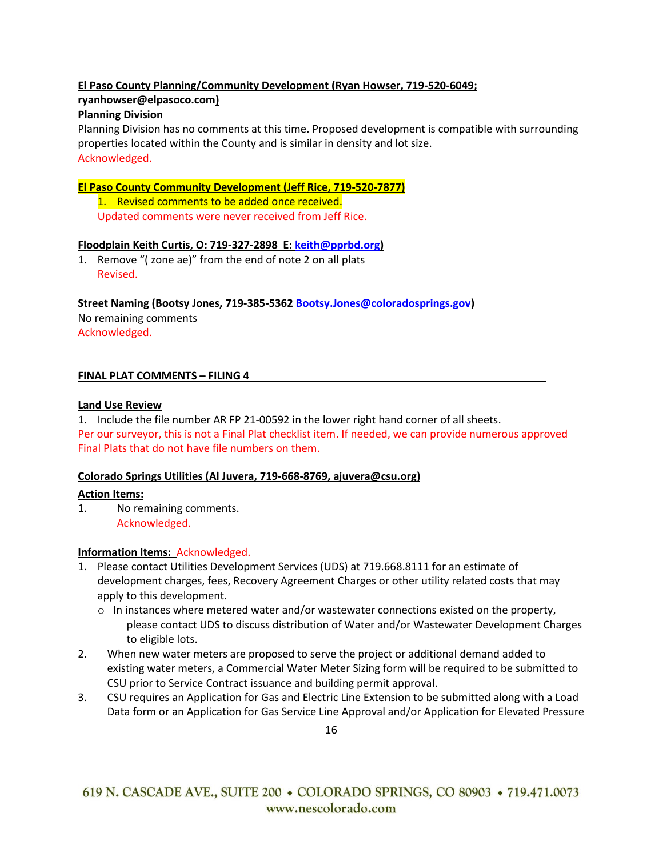# **El Paso County Planning/Community Development (Ryan Howser, 719-520-6049;**

# **[ryanhowser@elpasoco.com\)](mailto:ryanhowser@elpasoco.com)**

## **Planning Division**

Planning Division has no comments at this time. Proposed development is compatible with surrounding properties located within the County and is similar in density and lot size. Acknowledged.

### **El Paso County Community Development (Jeff Rice, 719-520-7877)**

1. Revised comments to be added once received. Updated comments were never received from Jeff Rice.

### **Floodplain Keith Curtis, O: 719-327-2898 E: [keith@pprbd.org\)](mailto:keith@pprbd.org)**

1. Remove "( zone ae)" from the end of note 2 on all plats Revised.

**Street Naming (Bootsy Jones, 719-385-5362 [Bootsy.Jones@coloradosprings.gov\)](mailto:Bootsy.Jones@coloradosprings.gov)**

No remaining comments Acknowledged.

### **FINAL PLAT COMMENTS – FILING 4**

### **Land Use Review**

1. Include the file number AR FP 21-00592 in the lower right hand corner of all sheets.

Per our surveyor, this is not a Final Plat checklist item. If needed, we can provide numerous approved Final Plats that do not have file numbers on them.

### **Colorado Springs Utilities (Al Juvera, 719-668-8769, ajuvera@csu.org)**

### **Action Items:**

1. No remaining comments. Acknowledged.

### **Information Items:** Acknowledged.

- 1. Please contact Utilities Development Services (UDS) at 719.668.8111 for an estimate of development charges, fees, Recovery Agreement Charges or other utility related costs that may apply to this development.
	- $\circ$  In instances where metered water and/or wastewater connections existed on the property, please contact UDS to discuss distribution of Water and/or Wastewater Development Charges to eligible lots.
- 2. When new water meters are proposed to serve the project or additional demand added to existing water meters, a Commercial Water Meter Sizing form will be required to be submitted to CSU prior to Service Contract issuance and building permit approval.
- 3. CSU requires an Application for Gas and Electric Line Extension to be submitted along with a Load Data form or an Application for Gas Service Line Approval and/or Application for Elevated Pressure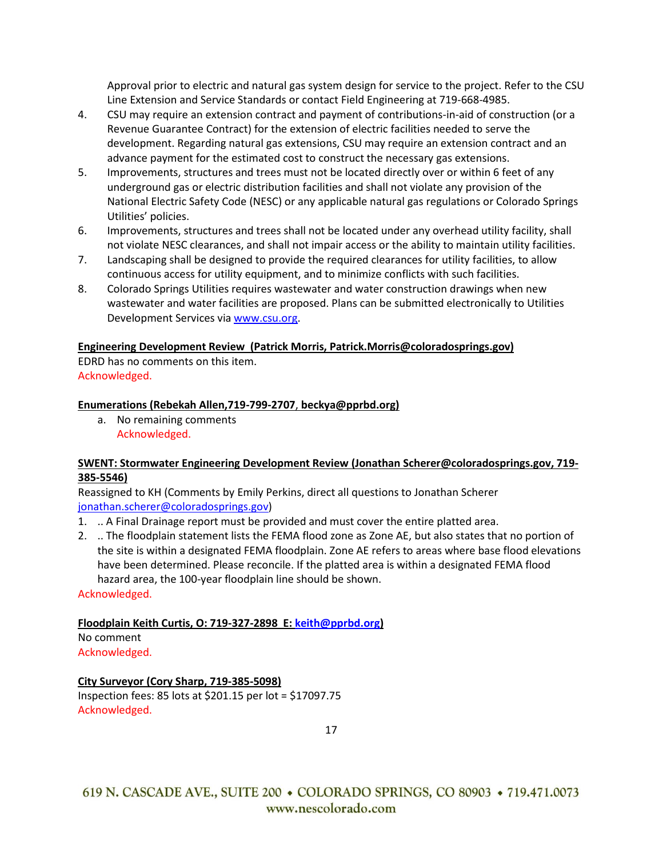Approval prior to electric and natural gas system design for service to the project. Refer to the CSU Line Extension and Service Standards or contact Field Engineering at 719-668-4985.

- 4. CSU may require an extension contract and payment of contributions-in-aid of construction (or a Revenue Guarantee Contract) for the extension of electric facilities needed to serve the development. Regarding natural gas extensions, CSU may require an extension contract and an advance payment for the estimated cost to construct the necessary gas extensions.
- 5. Improvements, structures and trees must not be located directly over or within 6 feet of any underground gas or electric distribution facilities and shall not violate any provision of the National Electric Safety Code (NESC) or any applicable natural gas regulations or Colorado Springs Utilities' policies.
- 6. Improvements, structures and trees shall not be located under any overhead utility facility, shall not violate NESC clearances, and shall not impair access or the ability to maintain utility facilities.
- 7. Landscaping shall be designed to provide the required clearances for utility facilities, to allow continuous access for utility equipment, and to minimize conflicts with such facilities.
- 8. Colorado Springs Utilities requires wastewater and water construction drawings when new wastewater and water facilities are proposed. Plans can be submitted electronically to Utilities Development Services via [www.csu.org.](http://www.csu.org/)

### **Engineering Development Review (Patrick Morris, Patrick.Morris@coloradosprings.gov)**

EDRD has no comments on this item. Acknowledged.

### **Enumerations (Rebekah Allen,719-799-2707**, **beckya@pprbd.org)**

a. No remaining comments Acknowledged.

### **SWENT: Stormwater Engineering Development Review (Jonathan Scherer@coloradosprings.gov, 719- 385-5546)**

Reassigned to KH (Comments by Emily Perkins, direct all questions to Jonathan Scherer [jonathan.scherer@coloradosprings.gov\)](mailto:jonathan.scherer@coloradosprings.gov)

- 1. .. A Final Drainage report must be provided and must cover the entire platted area.
- 2. .. The floodplain statement lists the FEMA flood zone as Zone AE, but also states that no portion of the site is within a designated FEMA floodplain. Zone AE refers to areas where base flood elevations have been determined. Please reconcile. If the platted area is within a designated FEMA flood hazard area, the 100-year floodplain line should be shown.

### Acknowledged.

# **Floodplain Keith Curtis, O: 719-327-2898 E: [keith@pprbd.org\)](mailto:keith@pprbd.org)**

No comment Acknowledged.

# **City Surveyor (Cory Sharp, 719-385-5098)** Inspection fees: 85 lots at \$201.15 per lot = \$17097.75 Acknowledged.

17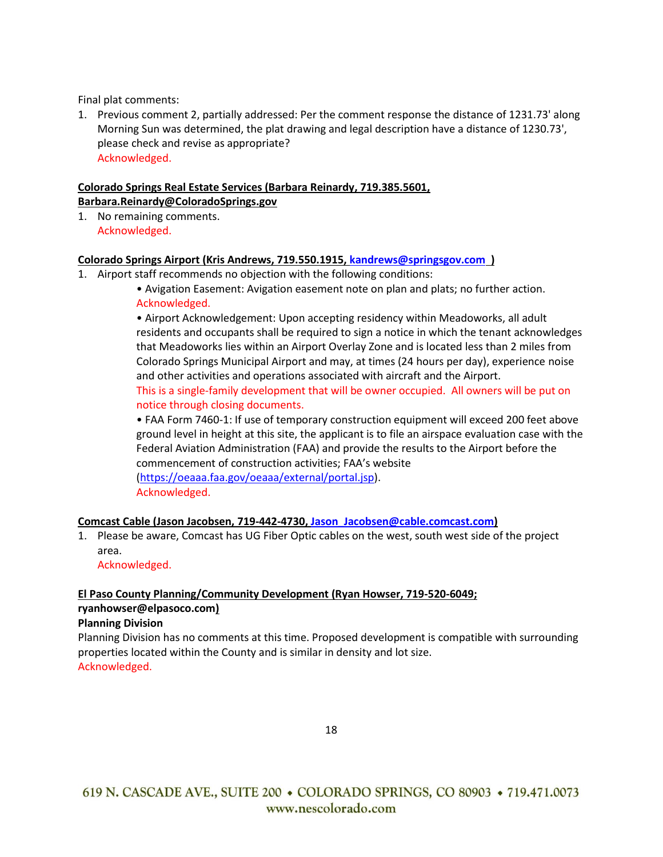Final plat comments:

1. Previous comment 2, partially addressed: Per the comment response the distance of 1231.73' along Morning Sun was determined, the plat drawing and legal description have a distance of 1230.73', please check and revise as appropriate? Acknowledged.

### **Colorado Springs Real Estate Services (Barbara Reinardy, 719.385.5601, [Barbara.Reinardy@ColoradoSprings.gov](mailto:Barbara.Reinardy@ColoradoSprings.gov)**

1. No remaining comments. Acknowledged.

### **Colorado Springs Airport (Kris Andrews, 719.550.1915[, kandrews@springsgov.com](mailto:kandrews@springsgov.com) )**

1. Airport staff recommends no objection with the following conditions:

• Airport Acknowledgement: Upon accepting residency within Meadoworks, all adult residents and occupants shall be required to sign a notice in which the tenant acknowledges that Meadoworks lies within an Airport Overlay Zone and is located less than 2 miles from Colorado Springs Municipal Airport and may, at times (24 hours per day), experience noise and other activities and operations associated with aircraft and the Airport. This is a single-family development that will be owner occupied. All owners will be put on notice through closing documents.

• FAA Form 7460-1: If use of temporary construction equipment will exceed 200 feet above ground level in height at this site, the applicant is to file an airspace evaluation case with the Federal Aviation Administration (FAA) and provide the results to the Airport before the commencement of construction activities; FAA's website [\(https://oeaaa.faa.gov/oeaaa/external/portal.jsp\)](https://oeaaa.faa.gov/oeaaa/external/portal.jsp).

Acknowledged.

# **Comcast Cable (Jason Jacobsen, 719-442-4730, [Jason\\_Jacobsen@cable.comcast.com\)](mailto:Jason_Jacobsen@cable.comcast.com)**

1. Please be aware, Comcast has UG Fiber Optic cables on the west, south west side of the project area.

Acknowledged.

# **El Paso County Planning/Community Development (Ryan Howser, 719-520-6049; [ryanhowser@elpasoco.com\)](mailto:ryanhowser@elpasoco.com)**

### **Planning Division**

Planning Division has no comments at this time. Proposed development is compatible with surrounding properties located within the County and is similar in density and lot size. Acknowledged.

18

<sup>•</sup> Avigation Easement: Avigation easement note on plan and plats; no further action. Acknowledged.